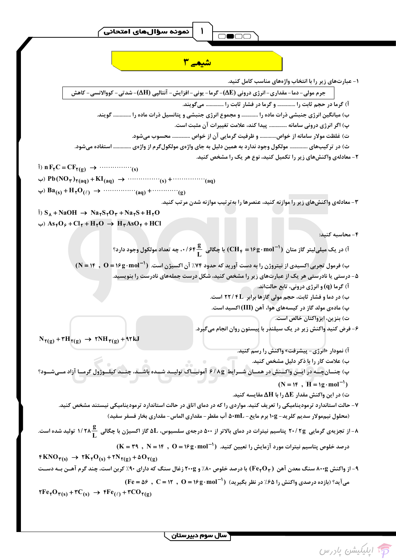$$
\mathbf{Y}_{\mathbf{y}}
$$

 $\mathbf{I}$ 

1.4.4.9) 
$$
-\sqrt{2}
$$
  $-\sqrt{2}$   $-\sqrt{2}$   $-\sqrt{2}$   $-\sqrt{2}$   $-\sqrt{2}$   $-\sqrt{2}$   $-\sqrt{2}$   $-\sqrt{2}$   $-\sqrt{2}$   $-\sqrt{2}$   $-\sqrt{2}$   $-\sqrt{2}$   $-\sqrt{2}$   $-\sqrt{2}$   $-\sqrt{2}$   $-\sqrt{2}$   $-\sqrt{2}$   $-\sqrt{2}$   $-\sqrt{2}$   $-\sqrt{2}$   $-\sqrt{2}$   $-\sqrt{2}$   $-\sqrt{2}$   $-\sqrt{2}$   $-\sqrt{2}$   $-\sqrt{2}$   $-\sqrt{2}$   $-\sqrt{2}$   $-\sqrt{2}$   $-\sqrt{2}$   $-\sqrt{2}$   $-\sqrt{2}$   $-\sqrt{2}$   $-\sqrt{2}$   $-\sqrt{2}$   $-\sqrt{2}$   $-\sqrt{2}$   $-\sqrt{2}$   $-\sqrt{2}$   $-\sqrt{2}$   $-\sqrt{2}$   $-\sqrt{2}$   $-\sqrt{2}$   $-\sqrt{2}$   $-\sqrt{2}$   $-\sqrt{2}$   $-\sqrt{2}$   $-\sqrt{2}$   $-\sqrt{2}$   $-\sqrt{2}$   $-\sqrt{2}$   $-\sqrt{2}$   $-\sqrt{2}$   $-\sqrt{2}$   $-\sqrt{2}$   $-\sqrt{2}$   $-\sqrt{2}$   $-\sqrt{2}$   $-\sqrt{2}$   $-\sqrt{2}$   $-\sqrt{2}$   $-\sqrt{2}$   $-\sqrt{2}$   $-\sqrt{2}$   $-\sqrt{2}$   $-\sqrt{2}$   $-\sqrt{2}$   $-\sqrt{2}$   $-\sqrt{2}$   $-\sqrt{2}$   $-\sqrt{2}$   $-\sqrt{2}$   $-\sqrt{2}$   $-\sqrt{2}$   $-\sqrt$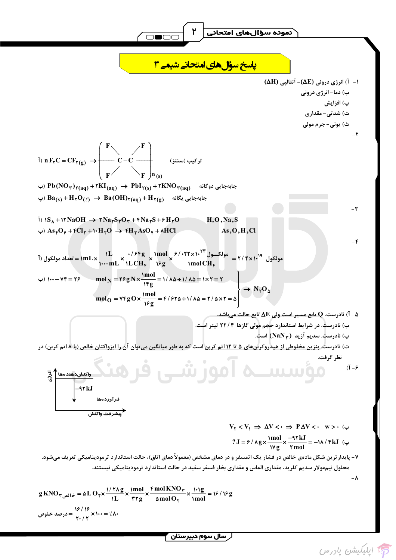$$
\sqrt{2 \pi} \sqrt{1} \int_{y}^{x} \frac{1}{y^{2}} \frac{1}{y^{2}} \frac{1}{y^{2}} \frac{1}{y^{2}} \frac{1}{y^{2}} \frac{1}{y^{2}} \frac{1}{y^{2}} \frac{1}{y^{2}} \frac{1}{y^{2}} \frac{1}{y^{2}} \frac{1}{y^{2}} \frac{1}{y^{2}} \frac{1}{y^{2}} \frac{1}{y^{2}} \frac{1}{y^{2}} \frac{1}{y^{2}} \frac{1}{y^{2}} \frac{1}{y^{2}} \frac{1}{y^{2}} \frac{1}{y^{2}} \frac{1}{y^{2}} \frac{1}{y^{2}} \frac{1}{y^{2}} \frac{1}{y^{2}} \frac{1}{y^{2}} \frac{1}{y^{2}} \frac{1}{y^{2}} \frac{1}{y^{2}} \frac{1}{y^{2}} \frac{1}{y^{2}} \frac{1}{y^{2}} \frac{1}{y^{2}} \frac{1}{y^{2}} \frac{1}{y^{2}} \frac{1}{y^{2}} \frac{1}{y^{2}} \frac{1}{y^{2}} \frac{1}{y^{2}} \frac{1}{y^{2}} \frac{1}{y^{2}} \frac{1}{y^{2}} \frac{1}{y^{2}} \frac{1}{y^{2}} \frac{1}{y^{2}} \frac{1}{y^{2}} \frac{1}{y^{2}} \frac{1}{y^{2}} \frac{1}{y^{2}} \frac{1}{y^{2}} \frac{1}{y^{2}} \frac{1}{y^{2}} \frac{1}{y^{2}} \frac{1}{y^{2}} \frac{1}{y^{2}} \frac{1}{y^{2}} \frac{1}{y^{2}} \frac{1}{y^{2}} \frac{1}{y^{2}} \frac{1}{y^{2}} \frac{1}{y^{2}} \frac{1}{y^{2}} \frac{1}{y^{2}} \frac{1}{y^{2}} \frac{1}{y^{2}} \frac{1}{y^{2}} \frac{1}{y^{2}} \frac{1}{y^{2}} \frac{1}{y^{2}} \frac{1}{y^{2}} \frac{1}{y^{2}} \frac{1}{y^{2}} \frac{1}{y^{2}} \frac{1}{y^{2}} \frac{1}{y^{2}} \frac{1}{y^{2}} \frac{1}{y^{2}} \frac{1}{y^{2}} \frac{1}{y^{2}} \frac{1}{y^{2}} \frac{1}{y^{2}} \frac{1}{y^{2}} \frac{1}{y^{2}} \
$$